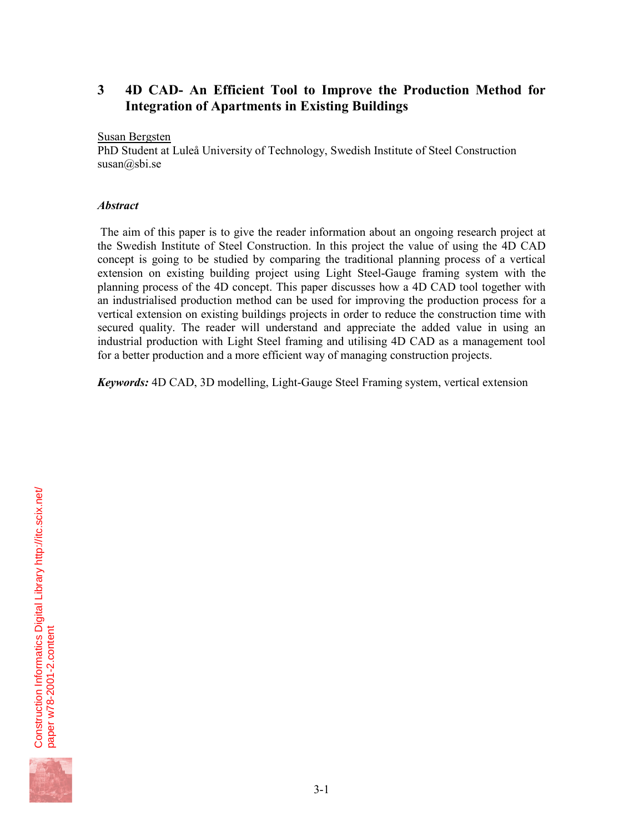# **3 4D CAD- An Efficient Tool to Improve the Production Method for Integration of Apartments in Existing Buildings**

### Susan Bergsten

PhD Student at Luleå University of Technology, Swedish Institute of Steel Construction susan@sbi.se

# *Abstract*

 The aim of this paper is to give the reader information about an ongoing research project at the Swedish Institute of Steel Construction. In this project the value of using the 4D CAD concept is going to be studied by comparing the traditional planning process of a vertical extension on existing building project using Light Steel-Gauge framing system with the planning process of the 4D concept. This paper discusses how a 4D CAD tool together with an industrialised production method can be used for improving the production process for a vertical extension on existing buildings projects in order to reduce the construction time with secured quality. The reader will understand and appreciate the added value in using an industrial production with Light Steel framing and utilising 4D CAD as a management tool for a better production and a more efficient way of managing construction projects.

*Keywords:* 4D CAD, 3D modelling, Light-Gauge Steel Framing system, vertical extension

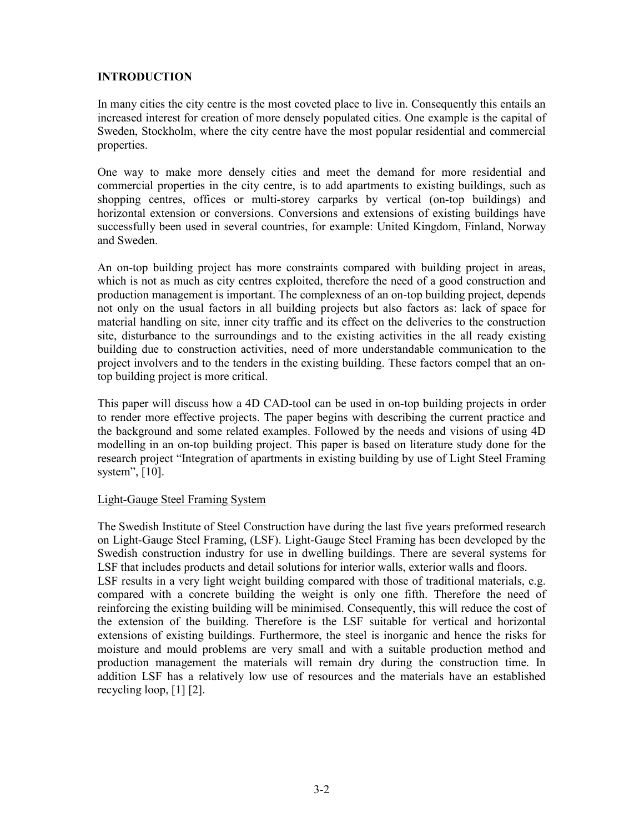# **INTRODUCTION**

In many cities the city centre is the most coveted place to live in. Consequently this entails an increased interest for creation of more densely populated cities. One example is the capital of Sweden, Stockholm, where the city centre have the most popular residential and commercial properties.

One way to make more densely cities and meet the demand for more residential and commercial properties in the city centre, is to add apartments to existing buildings, such as shopping centres, offices or multi-storey carparks by vertical (on-top buildings) and horizontal extension or conversions. Conversions and extensions of existing buildings have successfully been used in several countries, for example: United Kingdom, Finland, Norway and Sweden.

An on-top building project has more constraints compared with building project in areas, which is not as much as city centres exploited, therefore the need of a good construction and production management is important. The complexness of an on-top building project, depends not only on the usual factors in all building projects but also factors as: lack of space for material handling on site, inner city traffic and its effect on the deliveries to the construction site, disturbance to the surroundings and to the existing activities in the all ready existing building due to construction activities, need of more understandable communication to the project involvers and to the tenders in the existing building. These factors compel that an ontop building project is more critical.

This paper will discuss how a 4D CAD-tool can be used in on-top building projects in order to render more effective projects. The paper begins with describing the current practice and the background and some related examples. Followed by the needs and visions of using 4D modelling in an on-top building project. This paper is based on literature study done for the research project "Integration of apartments in existing building by use of Light Steel Framing system", [10].

# Light-Gauge Steel Framing System

The Swedish Institute of Steel Construction have during the last five years preformed research on Light-Gauge Steel Framing, (LSF). Light-Gauge Steel Framing has been developed by the Swedish construction industry for use in dwelling buildings. There are several systems for LSF that includes products and detail solutions for interior walls, exterior walls and floors. LSF results in a very light weight building compared with those of traditional materials, e.g. compared with a concrete building the weight is only one fifth. Therefore the need of reinforcing the existing building will be minimised. Consequently, this will reduce the cost of the extension of the building. Therefore is the LSF suitable for vertical and horizontal extensions of existing buildings. Furthermore, the steel is inorganic and hence the risks for moisture and mould problems are very small and with a suitable production method and production management the materials will remain dry during the construction time. In addition LSF has a relatively low use of resources and the materials have an established recycling loop, [1] [2].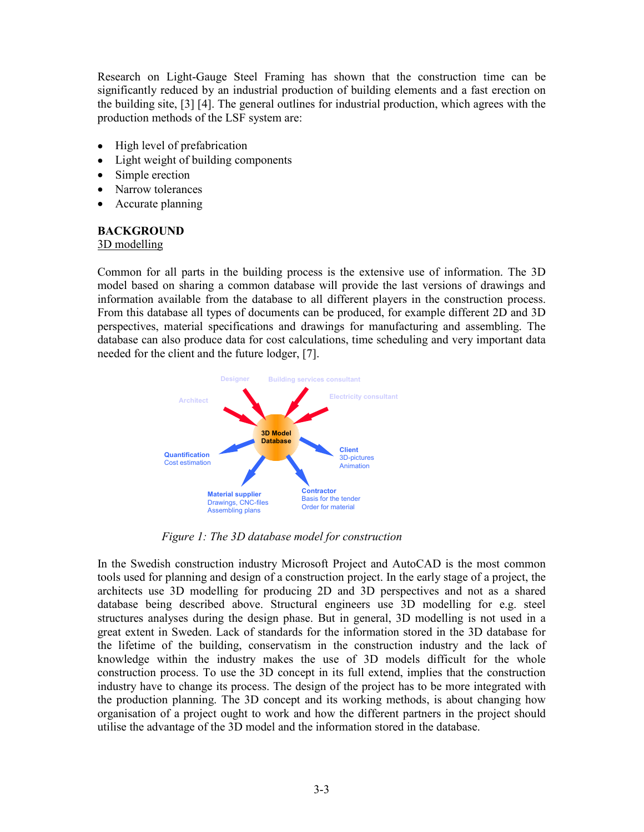Research on Light-Gauge Steel Framing has shown that the construction time can be significantly reduced by an industrial production of building elements and a fast erection on the building site, [3] [4]. The general outlines for industrial production, which agrees with the production methods of the LSF system are:

- High level of prefabrication
- Light weight of building components
- Simple erection
- Narrow tolerances
- Accurate planning

### **BACKGROUND**

#### 3D modelling

Common for all parts in the building process is the extensive use of information. The 3D model based on sharing a common database will provide the last versions of drawings and information available from the database to all different players in the construction process. From this database all types of documents can be produced, for example different 2D and 3D perspectives, material specifications and drawings for manufacturing and assembling. The database can also produce data for cost calculations, time scheduling and very important data needed for the client and the future lodger, [7].



*Figure 1: The 3D database model for construction* 

In the Swedish construction industry Microsoft Project and AutoCAD is the most common tools used for planning and design of a construction project. In the early stage of a project, the architects use 3D modelling for producing 2D and 3D perspectives and not as a shared database being described above. Structural engineers use 3D modelling for e.g. steel structures analyses during the design phase. But in general, 3D modelling is not used in a great extent in Sweden. Lack of standards for the information stored in the 3D database for the lifetime of the building, conservatism in the construction industry and the lack of knowledge within the industry makes the use of 3D models difficult for the whole construction process. To use the 3D concept in its full extend, implies that the construction industry have to change its process. The design of the project has to be more integrated with the production planning. The 3D concept and its working methods, is about changing how organisation of a project ought to work and how the different partners in the project should utilise the advantage of the 3D model and the information stored in the database.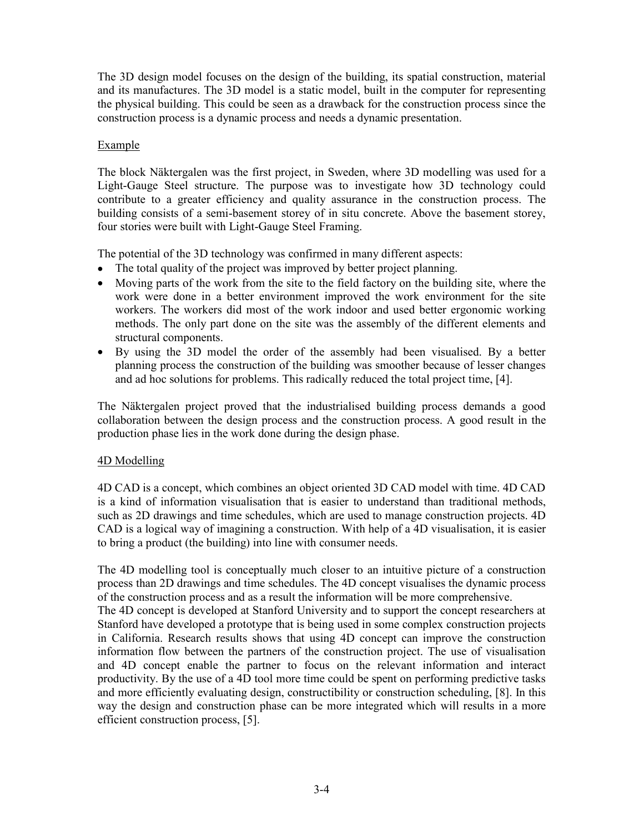The 3D design model focuses on the design of the building, its spatial construction, material and its manufactures. The 3D model is a static model, built in the computer for representing the physical building. This could be seen as a drawback for the construction process since the construction process is a dynamic process and needs a dynamic presentation.

### Example

The block Näktergalen was the first project, in Sweden, where 3D modelling was used for a Light-Gauge Steel structure. The purpose was to investigate how 3D technology could contribute to a greater efficiency and quality assurance in the construction process. The building consists of a semi-basement storey of in situ concrete. Above the basement storey, four stories were built with Light-Gauge Steel Framing.

The potential of the 3D technology was confirmed in many different aspects:

- The total quality of the project was improved by better project planning.
- Moving parts of the work from the site to the field factory on the building site, where the work were done in a better environment improved the work environment for the site workers. The workers did most of the work indoor and used better ergonomic working methods. The only part done on the site was the assembly of the different elements and structural components.
- By using the 3D model the order of the assembly had been visualised. By a better planning process the construction of the building was smoother because of lesser changes and ad hoc solutions for problems. This radically reduced the total project time, [4].

The Näktergalen project proved that the industrialised building process demands a good collaboration between the design process and the construction process. A good result in the production phase lies in the work done during the design phase.

### 4D Modelling

4D CAD is a concept, which combines an object oriented 3D CAD model with time. 4D CAD is a kind of information visualisation that is easier to understand than traditional methods, such as 2D drawings and time schedules, which are used to manage construction projects. 4D CAD is a logical way of imagining a construction. With help of a 4D visualisation, it is easier to bring a product (the building) into line with consumer needs.

The 4D modelling tool is conceptually much closer to an intuitive picture of a construction process than 2D drawings and time schedules. The 4D concept visualises the dynamic process of the construction process and as a result the information will be more comprehensive.

The 4D concept is developed at Stanford University and to support the concept researchers at Stanford have developed a prototype that is being used in some complex construction projects in California. Research results shows that using 4D concept can improve the construction information flow between the partners of the construction project. The use of visualisation and 4D concept enable the partner to focus on the relevant information and interact productivity. By the use of a 4D tool more time could be spent on performing predictive tasks and more efficiently evaluating design, constructibility or construction scheduling, [8]. In this way the design and construction phase can be more integrated which will results in a more efficient construction process, [5].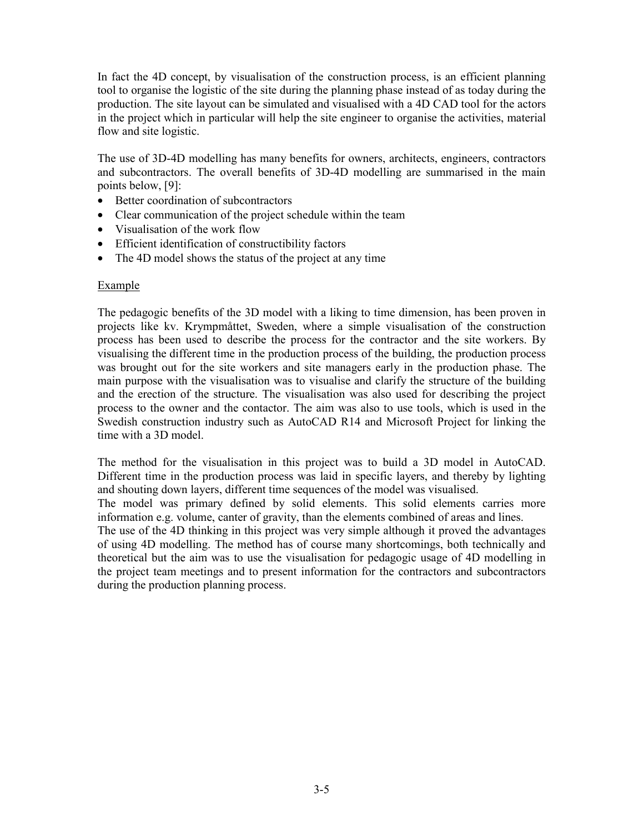In fact the 4D concept, by visualisation of the construction process, is an efficient planning tool to organise the logistic of the site during the planning phase instead of as today during the production. The site layout can be simulated and visualised with a 4D CAD tool for the actors in the project which in particular will help the site engineer to organise the activities, material flow and site logistic.

The use of 3D-4D modelling has many benefits for owners, architects, engineers, contractors and subcontractors. The overall benefits of 3D-4D modelling are summarised in the main points below, [9]:

- Better coordination of subcontractors
- Clear communication of the project schedule within the team
- Visualisation of the work flow
- Efficient identification of constructibility factors
- The 4D model shows the status of the project at any time

#### Example

The pedagogic benefits of the 3D model with a liking to time dimension, has been proven in projects like kv. Krympmåttet, Sweden, where a simple visualisation of the construction process has been used to describe the process for the contractor and the site workers. By visualising the different time in the production process of the building, the production process was brought out for the site workers and site managers early in the production phase. The main purpose with the visualisation was to visualise and clarify the structure of the building and the erection of the structure. The visualisation was also used for describing the project process to the owner and the contactor. The aim was also to use tools, which is used in the Swedish construction industry such as AutoCAD R14 and Microsoft Project for linking the time with a 3D model.

The method for the visualisation in this project was to build a 3D model in AutoCAD. Different time in the production process was laid in specific layers, and thereby by lighting and shouting down layers, different time sequences of the model was visualised.

The model was primary defined by solid elements. This solid elements carries more information e.g. volume, canter of gravity, than the elements combined of areas and lines.

The use of the 4D thinking in this project was very simple although it proved the advantages of using 4D modelling. The method has of course many shortcomings, both technically and theoretical but the aim was to use the visualisation for pedagogic usage of 4D modelling in the project team meetings and to present information for the contractors and subcontractors during the production planning process.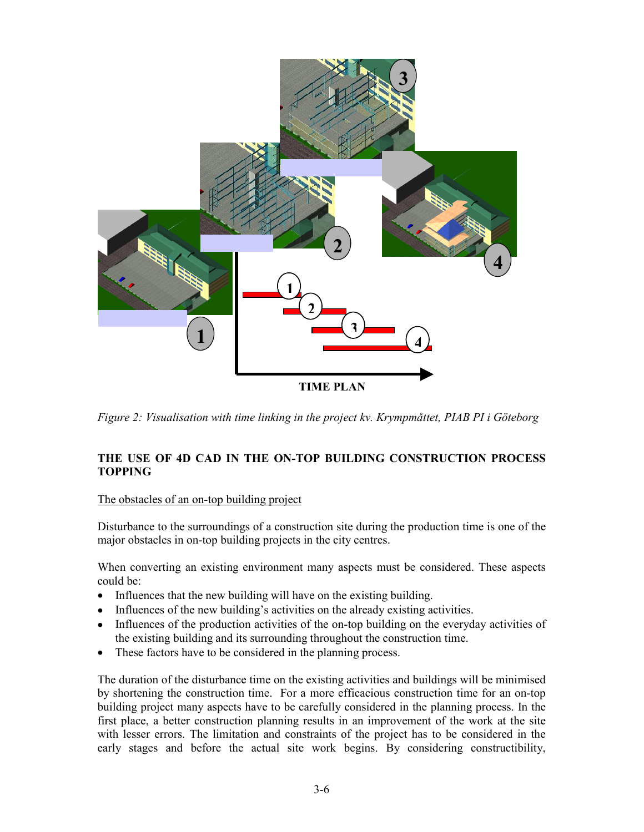

*Figure 2: Visualisation with time linking in the project kv. Krympmåttet, PIAB PI i Göteborg* 

# **THE USE OF 4D CAD IN THE ON-TOP BUILDING CONSTRUCTION PROCESS TOPPING**

# The obstacles of an on-top building project

Disturbance to the surroundings of a construction site during the production time is one of the major obstacles in on-top building projects in the city centres.

When converting an existing environment many aspects must be considered. These aspects could be:

- Influences that the new building will have on the existing building.
- Influences of the new building's activities on the already existing activities.
- Influences of the production activities of the on-top building on the everyday activities of the existing building and its surrounding throughout the construction time.
- These factors have to be considered in the planning process.

The duration of the disturbance time on the existing activities and buildings will be minimised by shortening the construction time. For a more efficacious construction time for an on-top building project many aspects have to be carefully considered in the planning process. In the first place, a better construction planning results in an improvement of the work at the site with lesser errors. The limitation and constraints of the project has to be considered in the early stages and before the actual site work begins. By considering constructibility,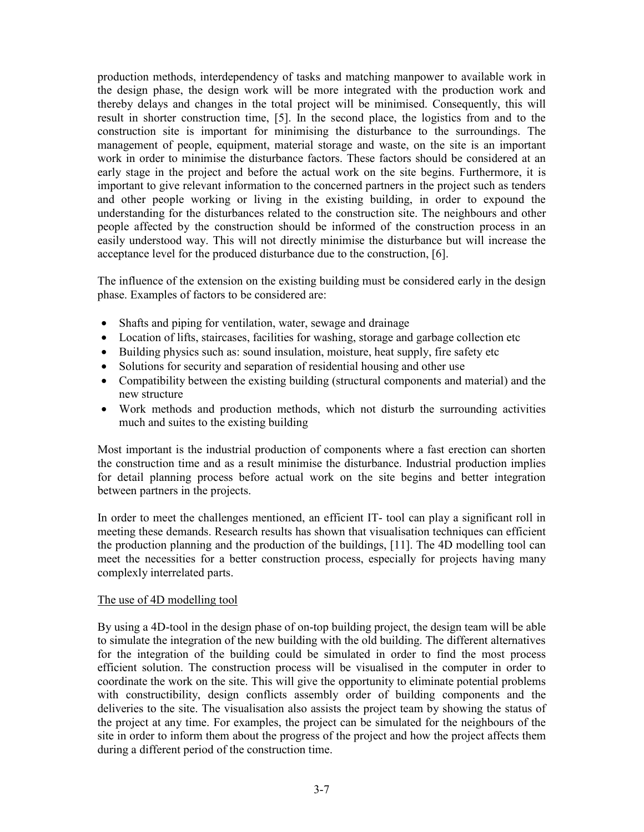production methods, interdependency of tasks and matching manpower to available work in the design phase, the design work will be more integrated with the production work and thereby delays and changes in the total project will be minimised. Consequently, this will result in shorter construction time, [5]. In the second place, the logistics from and to the construction site is important for minimising the disturbance to the surroundings. The management of people, equipment, material storage and waste, on the site is an important work in order to minimise the disturbance factors. These factors should be considered at an early stage in the project and before the actual work on the site begins. Furthermore, it is important to give relevant information to the concerned partners in the project such as tenders and other people working or living in the existing building, in order to expound the understanding for the disturbances related to the construction site. The neighbours and other people affected by the construction should be informed of the construction process in an easily understood way. This will not directly minimise the disturbance but will increase the acceptance level for the produced disturbance due to the construction, [6].

The influence of the extension on the existing building must be considered early in the design phase. Examples of factors to be considered are:

- Shafts and piping for ventilation, water, sewage and drainage
- Location of lifts, staircases, facilities for washing, storage and garbage collection etc
- Building physics such as: sound insulation, moisture, heat supply, fire safety etc
- Solutions for security and separation of residential housing and other use
- Compatibility between the existing building (structural components and material) and the new structure
- Work methods and production methods, which not disturb the surrounding activities much and suites to the existing building

Most important is the industrial production of components where a fast erection can shorten the construction time and as a result minimise the disturbance. Industrial production implies for detail planning process before actual work on the site begins and better integration between partners in the projects.

In order to meet the challenges mentioned, an efficient IT- tool can play a significant roll in meeting these demands. Research results has shown that visualisation techniques can efficient the production planning and the production of the buildings, [11]. The 4D modelling tool can meet the necessities for a better construction process, especially for projects having many complexly interrelated parts.

### The use of 4D modelling tool

By using a 4D-tool in the design phase of on-top building project, the design team will be able to simulate the integration of the new building with the old building. The different alternatives for the integration of the building could be simulated in order to find the most process efficient solution. The construction process will be visualised in the computer in order to coordinate the work on the site. This will give the opportunity to eliminate potential problems with constructibility, design conflicts assembly order of building components and the deliveries to the site. The visualisation also assists the project team by showing the status of the project at any time. For examples, the project can be simulated for the neighbours of the site in order to inform them about the progress of the project and how the project affects them during a different period of the construction time.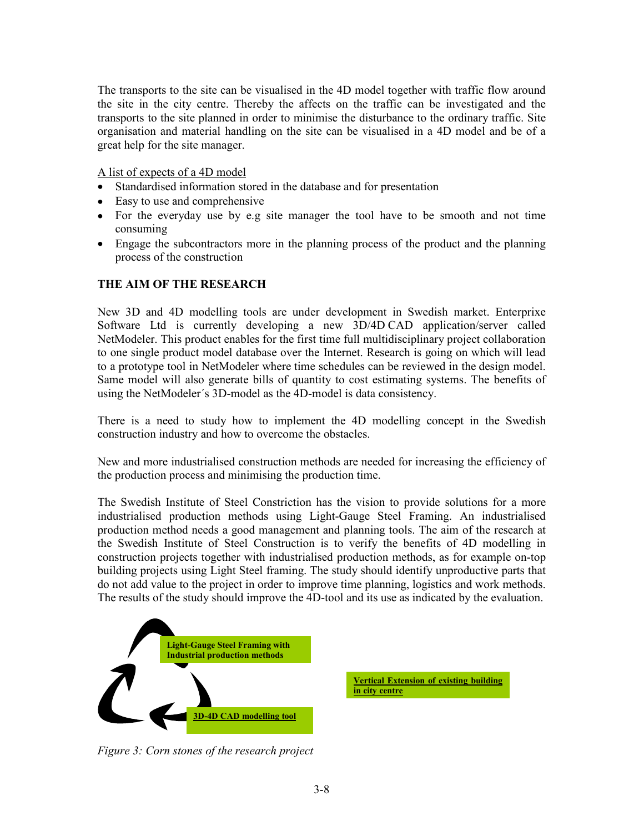The transports to the site can be visualised in the 4D model together with traffic flow around the site in the city centre. Thereby the affects on the traffic can be investigated and the transports to the site planned in order to minimise the disturbance to the ordinary traffic. Site organisation and material handling on the site can be visualised in a 4D model and be of a great help for the site manager.

A list of expects of a 4D model

- Standardised information stored in the database and for presentation
- Easy to use and comprehensive
- For the everyday use by e.g site manager the tool have to be smooth and not time consuming
- Engage the subcontractors more in the planning process of the product and the planning process of the construction

# **THE AIM OF THE RESEARCH**

New 3D and 4D modelling tools are under development in Swedish market. Enterprixe Software Ltd is currently developing a new 3D/4D CAD application/server called NetModeler. This product enables for the first time full multidisciplinary project collaboration to one single product model database over the Internet. Research is going on which will lead to a prototype tool in NetModeler where time schedules can be reviewed in the design model. Same model will also generate bills of quantity to cost estimating systems. The benefits of using the NetModeler´s 3D-model as the 4D-model is data consistency.

There is a need to study how to implement the 4D modelling concept in the Swedish construction industry and how to overcome the obstacles.

New and more industrialised construction methods are needed for increasing the efficiency of the production process and minimising the production time.

The Swedish Institute of Steel Constriction has the vision to provide solutions for a more industrialised production methods using Light-Gauge Steel Framing. An industrialised production method needs a good management and planning tools. The aim of the research at the Swedish Institute of Steel Construction is to verify the benefits of 4D modelling in construction projects together with industrialised production methods, as for example on-top building projects using Light Steel framing. The study should identify unproductive parts that do not add value to the project in order to improve time planning, logistics and work methods. The results of the study should improve the 4D-tool and its use as indicated by the evaluation.



**Vertical Extension of existing building in city centre**

*Figure 3: Corn stones of the research project*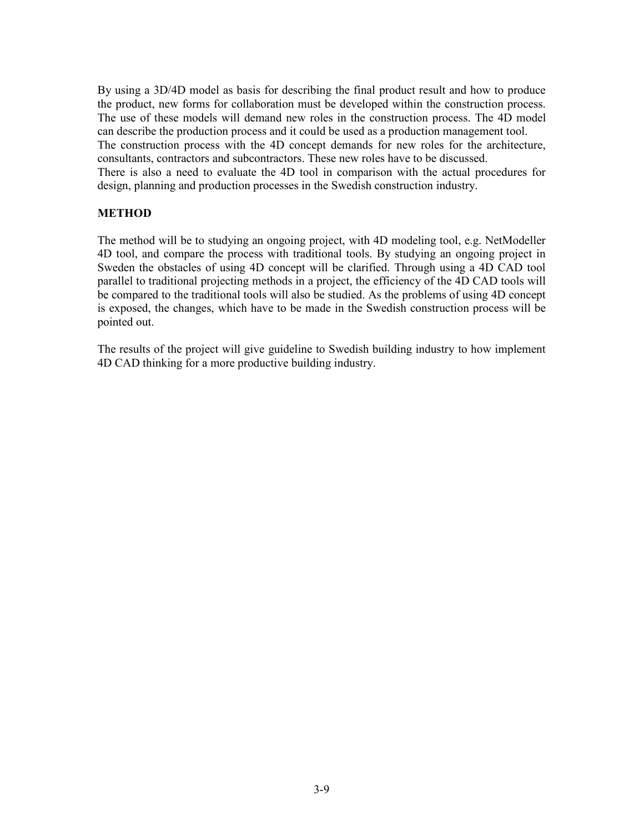By using a 3D/4D model as basis for describing the final product result and how to produce the product, new forms for collaboration must be developed within the construction process. The use of these models will demand new roles in the construction process. The 4D model can describe the production process and it could be used as a production management tool. The construction process with the 4D concept demands for new roles for the architecture, consultants, contractors and subcontractors. These new roles have to be discussed. There is also a need to evaluate the 4D tool in comparison with the actual procedures for design, planning and production processes in the Swedish construction industry.

# **METHOD**

The method will be to studying an ongoing project, with 4D modeling tool, e.g. NetModeller 4D tool, and compare the process with traditional tools. By studying an ongoing project in Sweden the obstacles of using 4D concept will be clarified. Through using a 4D CAD tool parallel to traditional projecting methods in a project, the efficiency of the 4D CAD tools will be compared to the traditional tools will also be studied. As the problems of using 4D concept is exposed, the changes, which have to be made in the Swedish construction process will be pointed out.

The results of the project will give guideline to Swedish building industry to how implement 4D CAD thinking for a more productive building industry.